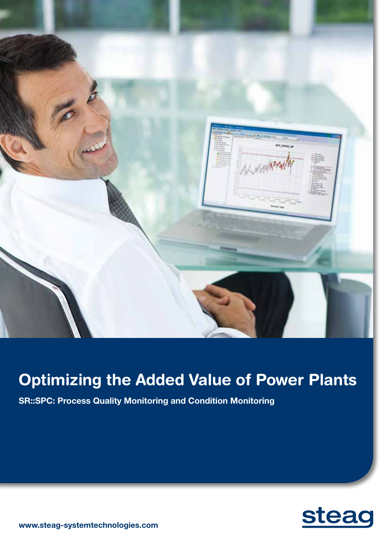

# Optimizing the Added Value of Power Plants

**SR::SPC: Process Quality Monitoring and Condition Monitoring** 



**www.steag-systemtechnologies.com**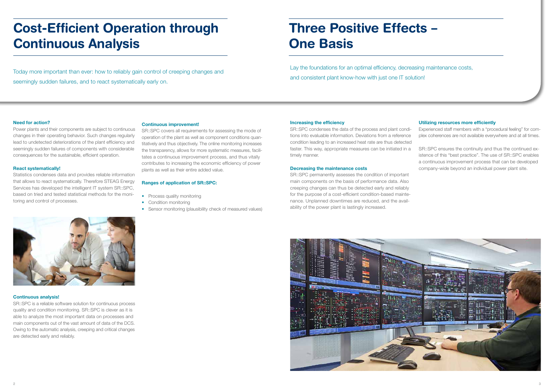# Three Positive Effects – One Basis

Lay the foundations for an optimal efficiency, decreasing maintenance costs, and consistent plant know-how with just one IT solution!

# **Utilizing resources more efficiently**

Experienced staff members with a "procedural feeling" for complex coherences are not available everywhere and at all times.

SR::SPC ensures the continuity and thus the continued existence of this "best practice". The use of SR::SPC enables a continuous improvement process that can be developed company-wide beyond an individual power plant site.

# Cost-Efficient Operation through Continuous Analysis

Today more important than ever: how to reliably gain control of creeping changes and seemingly sudden failures, and to react systematically early on.

# **Need for action?**

Power plants and their components are subject to continuous changes in their operating behavior. Such changes regularly lead to undetected deteriorations of the plant efficiency and seemingly sudden failures of components with considerable consequences for the sustainable, efficient operation.

# **React systematically!**

- Process quality monitoring
- Condition monitoring
- Sensor monitoring (plausibility check of measured values)

Statistics condenses data and provides reliable information that allows to react systematically. Therefore STEAG Energy Services has developed the intelligent IT system SR::SPC, based on tried and tested statistical methods for the monitoring and control of processes.

# **Continuous analysis!**

SR::SPC is a reliable software solution for continuous process quality and condition monitoring. SR::SPC is clever as it is able to analyze the most important data on processes and main components out of the vast amount of data of the DCS. Owing to the automatic analysis, creeping and critical changes are detected early and reliably.





# **Continuous improvement!**

SR::SPC covers all requirements for assessing the mode of operation of the plant as well as component conditions quantitatively and thus objectively. The online monitoring increases the transparency, allows for more systematic measures, facilitates a continuous improvement process, and thus vitally contributes to increasing the economic efficiency of power plants as well as their entire added value.

# **Ranges of application of SR::SPC:**

### **Increasing the efficiency**

SR::SPC condenses the data of the process and plant conditions into evaluable information. Deviations from a reference condition leading to an increased heat rate are thus detected faster. This way, appropriate measures can be initiated in a timely manner.

# **Decreasing the maintenance costs**

SR::SPC permanently assesses the condition of important main components on the basis of performance data. Also creeping changes can thus be detected early and reliably for the purpose of a cost-efficient condition-based maintenance. Unplanned downtimes are reduced, and the availability of the power plant is lastingly increased.

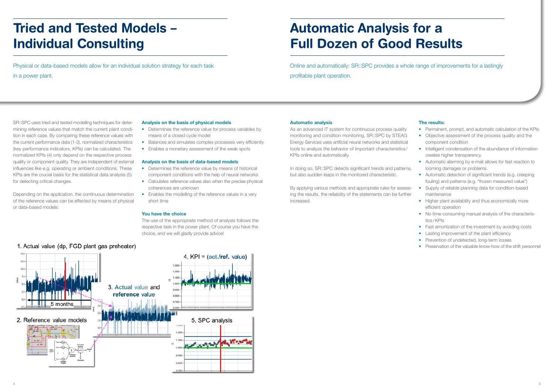Automatic Analysis for a Full Dozen of Good Results

Online and automatically: SR::SPC provides a whole range of improvements for a lastingly profitable plant operation.

#### **Automatic analysis**

As an advanced IT system for continuous process quality monitoring and condition monitoring, SR::SPC by STEAG Energy Services uses artificial neural networks and statistical tools to analyze the behavior of important characteristics / KPIs online and automatically.

- Permanent, prompt, and automatic calculation of the KPIs
- Objective assessment of the process quality and the component condition
- Intelligent condensation of the abundance of information creates higher transparency.
- Automatic alarming by e-mail allows for fast reaction to looming damages or problems.
- Automatic detection of significant trends (e.g. creeping fouling) and patterns (e.g. "frozen measured value")
- Supply of reliable planning data for condition-based maintenance
- Higher plant availability and thus economically more efficient operation
- No time-consuming manual analysis of the characteristics /KPIs
- Fast amortization of the investment by avoiding costs
- Lasting improvement of the plant efficiency
- Prevention of undetected, long-term losses
- Preservation of the valuable know-how of the shift personnel

In doing so, SR::SPC detects significant trends and patterns, but also sudden leaps in the monitored characteristic.

By applying various methods and appropriate rules for assessing the results, the reliability of the statements can be further increased.



# **The results:**

- Determines the reference value for process variables by means of a closed cycle model
- Balances and simulates complex processes very efficiently
- Enables a monetary assessment of the weak spots

# Tried and Tested Models – Individual Consulting

Physical or data-based models allow for an individual solution strategy for each task in a power plant.

# SR::SPC uses tried and tested modelling techniques for determining reference values that match the current plant condition in each case. By comparing these reference values with the current performance data (1-3), normalized characteristics (key performance indicators, KPIs) can be calculated. The normalized KPIs (4) only depend on the respective process quality or component quality. They are independent of external influences like e.g. operating or ambient conditions. These KPIs are the crucial basis for the statistical data analysis (5) for detecting critical changes.

Depending on the application, the continuous determination of the reference values can be effected by means of physical or data-based models:

# **Analysis on the basis of physical models**

## **Analysis on the basis of data-based models**

- Determines the reference value by means of historical component conditions with the help of neural networks
- Calculates reference values also when the precise physical coherences are unknown
- Enables the modelling of the reference values in a very short time

## **You have the choice**

The use of the appropriate method of analysis follows the respective task in the power plant. Of course you have the choice, and we will gladly provide advice!

**4**

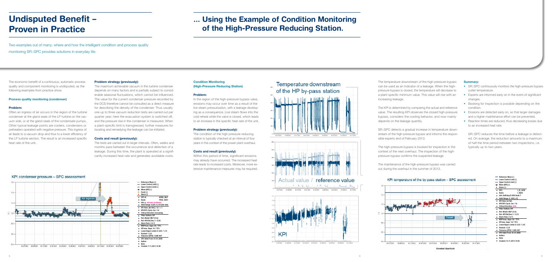# Undisputed Benefit – Proven in Practice

Two examples out of many: where and how the intelligent condition and process quality monitoring SR::SPC provides solutions in everyday life.

The economic benefit of a continuous, automatic process quality and component monitoring is undisputed, as the following examples from practice show.

### **Process quality monitoring (condenser)**

# **Problem:**

Often an ingress of air occurs in the region of the turbine condenser at the gland seals of the LP turbine on the vacuum side, or at the gland seals of the condensate pumps. Other typical leakage points are coolers, condensers or preheaters operated with negative pressure. This ingress of air leads to a vacuum drop and thus to a lower efficiency of the LP turbine section. The result is an increased specific heat rate of the unit.

### **Problem strategy (previously):**

In the region of the high-pressure bypass valve, erosions may occur over time as a result of the live steam pressurization, with a leakage developing as a consequence. Live steam flows into the cold reheat while the valve is closed, which leads to an increase in the specific heat rate of the unit.

The maximum achievable vacuum in the turbine condenser depends on many factors and is partially subject to considerable seasonal fluctuations, which cannot be influenced. The value for the current condenser pressure recorded by the DCS therefore cannot be consulted as a direct measure for describing the density of the condenser. Thus usually one up to three vacuum reduction tests are carried out per quarter year; here the evacuation system is switched off, and the pressure rise in the condenser is measured. When a plant-specific limit is transgressed, further measures for locating and remedying the leakage can be initiated.

#### **Costs and result (previously):**

The tests are carried out in larger intervals. Often, weeks and months pass between the occurrence and detection of a leakage. During this time, the plant is operated at a significantly increased heat rate and generates avoidable costs.

# **8**

# ... Using the Example of Condition Monitoring of the High-Pressure Reducing Station.

# **Condition Monitoring (High-Pressure Reducing Station)**

#### **Problem:**

- SR::SPC continuously monitors the high-pressure bypass outlet temperature.
- Experts are informed early on in the event of significant changes.
- Booking for inspection is possible depending on the condition.
- Erosions are detected early on, so that larger damages and a higher maintenance effort can be prevented.
- Reaction times are reduced, thus decreasing losses due to an increased heat rate.

#### **Problem strategy (previously):**

The condition of the high pressure reducing station is typically checked at an interval of four years in the context of the power plant overhaul.

# **Costs and result (previously):**

Within this period of time, significant erosions may already have occurred. The increased heat rate leads to increased costs. Moreover, more extensive maintenance measures may be required.



The temperature downstream of the high-pressure bypass can be used as an indicator of a leakage. When the highpressure bypass is closed, the temperature will decrease to a plant-specific minimum value. This value will rise with an increasing leakage.

The KPI is determined by comparing the actual and reference value. The resulting KPI observes the closed high-pressure bypass, considers the cooling behavior, and now mainly depends on the leakage quantity.

SR::SPC detects a gradual increase in temperature downstream of the high-pressure bypass and informs the responsible experts end of February 2013.

The high-pressure bypass is booked for inspection in the context of the next overhaul. The inspection of the highpressure bypass confirms the suspected leakage.

The maintenance of the high-pressure bypass was carried out during the overhaul in the summer of 2013.



### **Summary:**

SR::SPC reduces the time before a leakage is detected. On average, the reduction amounts to a maximum of half the time period between two inspections, i.e. typically up to two years.